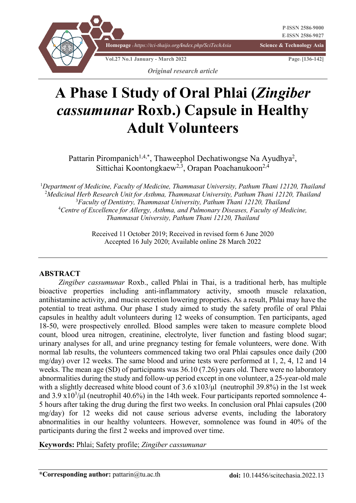

# **A Phase I Study of Oral Phlai (***Zingiber cassumunar* **Roxb.) Capsule in Healthy Adult Volunteers**

Pattarin Pirompanich<sup>1,4,\*</sup>, Thaweephol Dechatiwongse Na Ayudhya<sup>2</sup>, Sittichai Koontongkaew<sup>2,3</sup>, Orapan Poachanukoon<sup>2,4</sup>

 *Department of Medicine, Faculty of Medicine, Thammasat University, Pathum Thani 12120, Thailand Medicinal Herb Research Unit for Asthma, Thammasat University, Pathum Thani 12120, Thailand Faculty of Dentistry, Thammasat University, Pathum Thani 12120, Thailand Centre of Excellence for Allergy, Asthma, and Pulmonary Diseases, Faculty of Medicine, Thammasat University, Pathum Thani 12120, Thailand*

> Received 11 October 2019; Received in revised form 6 June 2020 Accepted 16 July 2020; Available online 28 March 2022

#### **ABSTRACT**

*Zingiber cassumunar* Roxb., called Phlai in Thai, is a traditional herb, has multiple bioactive properties including anti-inflammatory activity, smooth muscle relaxation, antihistamine activity, and mucin secretion lowering properties. As a result, Phlai may have the potential to treat asthma. Our phase I study aimed to study the safety profile of oral Phlai capsules in healthy adult volunteers during 12 weeks of consumption. Ten participants, aged 18-50, were prospectively enrolled. Blood samples were taken to measure complete blood count, blood urea nitrogen, creatinine, electrolyte, liver function and fasting blood sugar; urinary analyses for all, and urine pregnancy testing for female volunteers, were done. With normal lab results, the volunteers commenced taking two oral Phlai capsules once daily (200 mg/day) over 12 weeks. The same blood and urine tests were performed at 1, 2, 4, 12 and 14 weeks. The mean age (SD) of participants was 36.10 (7.26) years old. There were no laboratory abnormalities during the study and follow-up period except in one volunteer, a 25-year-old male with a slightly decreased white blood count of  $3.6 \times 103/\mu$  (neutrophil 39.8%) in the 1st week and  $3.9 \times 10^3/\mu$  (neutrophil 40.6%) in the 14th week. Four participants reported somnolence 4-5 hours after taking the drug during the first two weeks. In conclusion oral Phlai capsules (200 mg/day) for 12 weeks did not cause serious adverse events, including the laboratory abnormalities in our healthy volunteers. However, somnolence was found in 40% of the participants during the first 2 weeks and improved over time.

**Keywords:** Phlai; Safety profile; *Zingiber cassumunar*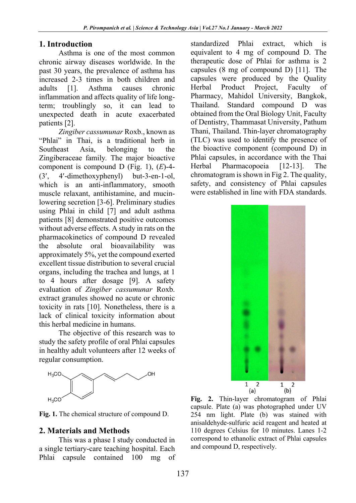#### **1. Introduction**

Asthma is one of the most common chronic airway diseases worldwide. In the past 30 years, the prevalence of asthma has increased 2-3 times in both children and adults [1]. Asthma causes chronic inflammation and affects quality of life longterm; troublingly so, it can lead to unexpected death in acute exacerbated patients [2].

*Zingiber cassumunar* Roxb., known as "Phlai" in Thai, is a traditional herb in Southeast Asia, belonging to the Zingiberaceae family*.* The major bioactive component is compound D (Fig. 1), (*E*)-4- (3¢, 4¢-dimethoxyphenyl) but-3-en-1-ol, which is an anti-inflammatory, smooth muscle relaxant, antihistamine, and mucinlowering secretion [3-6]. Preliminary studies using Phlai in child [7] and adult asthma patients [8] demonstrated positive outcomes without adverse effects. A study in rats on the pharmacokinetics of compound D revealed the absolute oral bioavailability was approximately 5%, yet the compound exerted excellent tissue distribution to several crucial organs, including the trachea and lungs, at 1 to 4 hours after dosage [9]. A safety evaluation of *Zingiber cassumunar* Roxb. extract granules showed no acute or chronic toxicity in rats [10]. Nonetheless, there is a lack of clinical toxicity information about this herbal medicine in humans.

The objective of this research was to study the safety profile of oral Phlai capsules in healthy adult volunteers after 12 weeks of regular consumption.



**Fig. 1.** The chemical structure of compound D.

## **2. Materials and Methods**

This was a phase I study conducted in a single tertiary-care teaching hospital. Each Phlai capsule contained 100 mg of

standardized Phlai extract, which is equivalent to 4 mg of compound D. The therapeutic dose of Phlai for asthma is 2 capsules (8 mg of compound D) [11]. The capsules were produced by the Quality Herbal Product Project, Faculty of Pharmacy, Mahidol University, Bangkok, Thailand. Standard compound D was obtained from the Oral Biology Unit, Faculty of Dentistry, Thammasat University, Pathum Thani, Thailand. Thin-layer chromatography (TLC) was used to identify the presence of the bioactive component (compound D) in Phlai capsules, in accordance with the Thai Herbal Pharmacopoeia [12-13]. The chromatogram is shown in Fig 2. The quality, safety, and consistency of Phlai capsules were established in line with FDA standards.



**Fig. 2.** Thin-layer chromatogram of Phlai capsule. Plate (a) was photographed under UV 254 nm light. Plate (b) was stained with anisaldehyde-sulfuric acid reagent and heated at 110 degrees Celsius for 10 minutes. Lanes 1-2 correspond to ethanolic extract of Phlai capsules and compound D, respectively.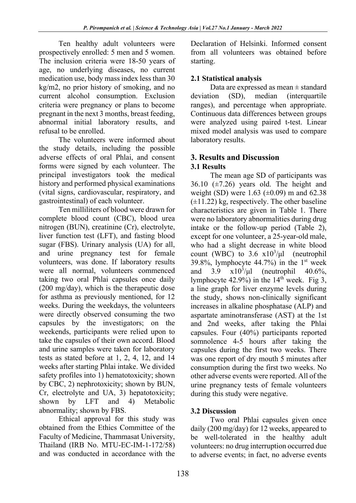Ten healthy adult volunteers were prospectively enrolled: 5 men and 5 women. The inclusion criteria were 18-50 years of age, no underlying diseases, no current medication use, body mass index less than 30 kg/m2, no prior history of smoking, and no current alcohol consumption. Exclusion criteria were pregnancy or plans to become pregnant in the next 3 months, breast feeding, abnormal initial laboratory results, and refusal to be enrolled.

The volunteers were informed about the study details, including the possible adverse effects of oral Phlai, and consent forms were signed by each volunteer. The principal investigators took the medical history and performed physical examinations (vital signs, cardiovascular, respiratory, and gastrointestinal) of each volunteer.

Ten milliliters of blood were drawn for complete blood count (CBC), blood urea nitrogen (BUN), creatinine (Cr), electrolyte, liver function test (LFT), and fasting blood sugar (FBS). Urinary analysis (UA) for all, and urine pregnancy test for female volunteers, was done. If laboratory results were all normal, volunteers commenced taking two oral Phlai capsules once daily (200 mg/day), which is the therapeutic dose for asthma as previously mentioned, for 12 weeks. During the weekdays, the volunteers were directly observed consuming the two capsules by the investigators; on the weekends, participants were relied upon to take the capsules of their own accord. Blood and urine samples were taken for laboratory tests as stated before at 1, 2, 4, 12, and 14 weeks after starting Phlai intake. We divided safety profiles into 1) hematotoxicity; shown by CBC, 2) nephrotoxicity; shown by BUN, Cr, electrolyte and UA, 3) hepatotoxicity; shown by LFT and 4) Metabolic abnormality; shown by FBS.

Ethical approval for this study was obtained from the Ethics Committee of the Faculty of Medicine, Thammasat University, Thailand (IRB No. MTU-EC-IM-1-172/58) and was conducted in accordance with the

Declaration of Helsinki. Informed consent from all volunteers was obtained before starting.

# **2.1 Statistical analysis**

Data are expressed as mean ± standard deviation (SD), median (interquartile ranges), and percentage when appropriate. Continuous data differences between groups were analyzed using paired t-test. Linear mixed model analysis was used to compare laboratory results.

#### **3. Results and Discussion 3.1 Results**

The mean age SD of participants was 36.10  $(\pm 7.26)$  years old. The height and weight (SD) were 1.63 ( $\pm$ 0.09) m and 62.38  $(\pm 11.22)$  kg, respectively. The other baseline characteristics are given in Table 1. There were no laboratory abnormalities during drug intake or the follow-up period (Table 2), except for one volunteer, a 25-year-old male, who had a slight decrease in white blood count (WBC) to  $3.6 \times 10^3/\mu l$  (neutrophil 39.8%, lymphocyte  $44.7\%$ ) in the 1<sup>st</sup> week and  $3.9 \times 10^3/\mu$ (neutrophil  $40.6\%$ , lymphocyte 42.9%) in the  $14<sup>th</sup>$  week. Fig 3, a line graph for liver enzyme levels during the study, shows non-clinically significant increases in alkaline phosphatase (ALP) and aspartate aminotransferase (AST) at the 1st and 2nd weeks, after taking the Phlai capsules. Four (40%) participants reported somnolence 4-5 hours after taking the capsules during the first two weeks. There was one report of dry mouth 5 minutes after consumption during the first two weeks. No other adverse events were reported. All of the urine pregnancy tests of female volunteers during this study were negative.

# **3.2 Discussion**

Two oral Phlai capsules given once daily (200 mg/day) for 12 weeks, appeared to be well-tolerated in the healthy adult volunteers: no drug interruption occurred due to adverse events; in fact, no adverse events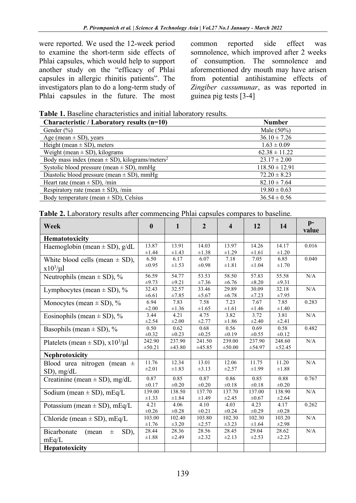were reported. We used the 12-week period to examine the short-term side effects of Phlai capsules, which would help to support another study on the "efficacy of Phlai capsules in allergic rhinitis patients". The investigators plan to do a long-term study of Phlai capsules in the future. The most

common reported side effect was somnolence, which improved after 2 weeks of consumption. The somnolence and aforementioned dry mouth may have arisen from potential antihistamine effects of *Zingiber cassumunar*, as was reported in guinea pig tests [3-4]

**Table 1.** Baseline characteristics and initial laboratory results.

| Characteristic / Laboratory results (n=10)                     | <b>Number</b>      |
|----------------------------------------------------------------|--------------------|
| Gender $(\% )$                                                 | Male $(50\%)$      |
| Age (mean $\pm$ SD), years                                     | $36.10 \pm 7.26$   |
| Height (mean $\pm$ SD), meters                                 | $1.63 \pm 0.09$    |
| Weight (mean $\pm$ SD), kilograms                              | $62.38 \pm 11.22$  |
| Body mass index (mean $\pm$ SD), kilograms/meters <sup>2</sup> | $23.17 \pm 2.00$   |
| Systolic blood pressure (mean $\pm$ SD), mmHg                  | $118.50 \pm 12.91$ |
| Diastolic blood pressure (mean $\pm$ SD), mmHg                 | $72.20 \pm 8.23$   |
| Heart rate (mean $\pm$ SD), /min                               | $82.10 \pm 7.64$   |
| Respiratory rate (mean $\pm$ SD), /min                         | $19.80 \pm 0.63$   |
| Body temperature (mean $\pm$ SD), Celsius                      | $36.54 \pm 0.56$   |

| <b>Table 2.</b> Laboratory results after commencing Phlai capsules compares to baseline. |  |  |  |
|------------------------------------------------------------------------------------------|--|--|--|
|------------------------------------------------------------------------------------------|--|--|--|

| Week                                     | $\bf{0}$   | $\mathbf{1}$ | $\overline{2}$ | $\overline{\mathbf{4}}$ | 12         | 14         | $p-$<br>value |
|------------------------------------------|------------|--------------|----------------|-------------------------|------------|------------|---------------|
| Hematotoxicity                           |            |              |                |                         |            |            |               |
| Haemoglobin (mean $\pm$ SD), g/dL        | 13.87      | 13.91        | 14.03          | 13.97                   | 14.26      | 14.17      | 0.016         |
|                                          | $\pm 1.44$ | $\pm 1.43$   | $\pm 1.38$     | $\pm 1.29$              | $\pm 1.61$ | $\pm 1.20$ |               |
| White blood cells (mean $\pm$ SD),       | 6.50       | 6.17         | 6.07           | 7.18                    | 7.05       | 6.85       | 0.040         |
| $x10^3/\mu l$                            | $\pm 0.95$ | $\pm 1.53$   | $\pm 0.98$     | $\pm 1.81$              | $\pm 1.04$ | $\pm 1.70$ |               |
| Neutrophils (mean $\pm$ SD), %           | 56.59      | 54.77        | 53.53          | 58.50                   | 57.83      | 55.58      | N/A           |
|                                          | $\pm 9.73$ | $\pm 9.21$   | ±7.36          | $\pm 6.76$              | $\pm 8.20$ | $\pm 9.31$ |               |
| Lymphocytes (mean $\pm$ SD), %           | 32.43      | 32.57        | 33.46          | 29.89                   | 30.09      | 32.18      | N/A           |
|                                          | $\pm 6.61$ | ±7.85        | $\pm$ 5.67     | ±6.78                   | $\pm 7.23$ | $\pm 7.95$ |               |
| Monocytes (mean $\pm$ SD), %             | 6.94       | 7.83         | 7.58           | 7.23                    | 7.67       | 7.85       | 0.283         |
|                                          | $\pm 2.00$ | $\pm 1.36$   | $\pm 1.65$     | $\pm 1.61$              | $\pm 1.46$ | $\pm 1.40$ |               |
| Eosinophils (mean $\pm$ SD), %           | 3.44       | 4.21         | 4.75           | 3.82                    | 3.72       | 3.81       | N/A           |
|                                          | $\pm 2.54$ | $\pm 2.00$   | ±2.77          | $\pm 1.86$              | $\pm 2.40$ | $\pm 2.41$ |               |
| Basophils (mean $\pm$ SD), %             | 0.50       | 0.62         | 0.68           | 0.56                    | 0.69       | 0.58       | 0.482         |
|                                          | $\pm 0.32$ | $\pm 0.23$   | $\pm 0.25$     | $\pm 0.19$              | $\pm 0.55$ | $\pm 0.12$ |               |
| Platelets (mean $\pm$ SD), $x10^3/\mu$ l | 242.90     | 237.90       | 241.50         | 239.00                  | 237.90     | 248.60     | N/A           |
|                                          | ±50.21     | ±43.80       | ±45.85         | $\pm 50.00$             | ±54.97     | ±52.45     |               |
| Nephrotoxicity                           |            |              |                |                         |            |            |               |
| Blood urea nitrogen (mean ±              | 11.76      | 12.34        | 13.01          | 12.06                   | 11.75      | 11.20      | N/A           |
| SD), mg/dL                               | $\pm 2.01$ | $\pm 1.83$   | ±3.13          | $\pm 2.57$              | $\pm 1.99$ | $\pm 1.88$ |               |
| Creatinine (mean $\pm$ SD), mg/dL        | 0.87       | 0.85         | 0.87           | 0.86                    | 0.85       | 0.88       | 0.767         |
|                                          | $\pm 0.17$ | $\pm 0.20$   | $\pm 0.20$     | $\pm 0.18$              | $\pm 0.18$ | $\pm 0.20$ |               |
| Sodium (mean $\pm$ SD), mEq/L            | 139.00     | 138.50       | 137.70         | 137.70                  | 137.00     | 138.90     | N/A           |
|                                          | $\pm 1.33$ | $\pm 1.84$   | $\pm 1.49$     | $\pm 2.45$              | $\pm 0.67$ | $\pm 2.64$ |               |
| Potassium (mean $\pm$ SD), mEq/L         | 4.21       | 4.06         | 4.10           | 4.03                    | 4.23       | 4.17       | 0.262         |
|                                          | $\pm 0.26$ | $\pm 0.28$   | $\pm 0.21$     | $\pm 0.24$              | $\pm 0.29$ | $\pm 0.28$ |               |
| Chloride (mean $\pm$ SD), mEq/L          | 103.00     | 102.40       | 103.80         | 102.30                  | 102.30     | 103.20     | N/A           |
|                                          | $\pm 1.76$ | $\pm 3.20$   | ±2.57          | $\pm 3.23$              | $\pm 1.64$ | $\pm 2.98$ |               |
| Bicarbonate<br>SD),<br>(mean<br>$\pm$    | 28.44      | 28.36        | 28.56          | 28.45                   | 29.04      | 28.62      | N/A           |
| mEq/L                                    | $\pm 1.88$ | $\pm 2.49$   | $\pm 2.32$     | $\pm 2.13$              | $\pm 2.53$ | $\pm 2.23$ |               |
| <b>Hepatotoxicity</b>                    |            |              |                |                         |            |            |               |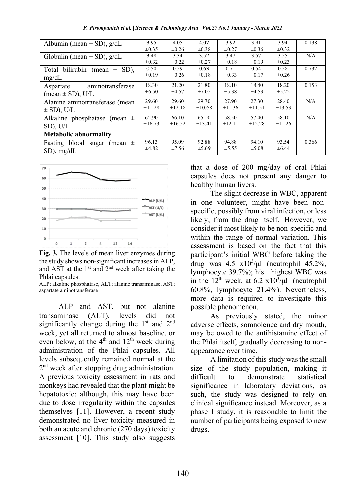*P. Pirompanich et al. | Science & Technology Asia | Vol.27 No.1 January - March 2022*

| Albumin (mean $\pm$ SD), g/dL    | 3.95        | 4.05        | 4.07        | 3.92        | 3.91       | 3.94        | 0.138 |
|----------------------------------|-------------|-------------|-------------|-------------|------------|-------------|-------|
|                                  | $\pm 0.35$  | $\pm 0.26$  | $\pm 0.38$  | $\pm 0.27$  | $\pm 0.36$ | $\pm 0.32$  |       |
| Globulin (mean $\pm$ SD), g/dL   | 3.48        | 3.34        | 3.52        | 3.47        | 3.57       | 3.55        | N/A   |
|                                  | $\pm 0.32$  | $\pm 0.22$  | $\pm 0.27$  | $\pm 0.18$  | $\pm 0.19$ | $\pm 0.23$  |       |
| Total bilirubin (mean $\pm$ SD), | 0.50        | 0.59        | 0.63        | 0.71        | 0.54       | 0.58        | 0.732 |
| mg/dL                            | $\pm 0.19$  | $\pm 0.26$  | $\pm 0.18$  | $\pm 0.33$  | $\pm 0.17$ | $\pm 0.26$  |       |
| aminotransferase<br>Aspartate    | 18.30       | 21.20       | 21.80       | 18.10       | 18.40      | 18.20       | 0.153 |
| (mean $\pm$ SD), U/L             | $\pm 6.50$  | $\pm 4.57$  | $\pm 7.05$  | $\pm$ 5.38  | ±4.53      | $\pm$ 5.22  |       |
| Alanine aminotransferase (mean   | 29.60       | 29.60       | 29.70       | 27.90       | 27.30      | 28.40       | N/A   |
| $\pm$ SD), U/L                   | $\pm 11.28$ | $\pm 12.18$ | $\pm 10.68$ | $\pm 11.36$ | ±11.51     | $\pm 13.53$ |       |
| Alkaline phosphatase (mean $\pm$ | 62.90       | 66.10       | 65.10       | 58.50       | 57.40      | 58.10       | N/A   |
| $SD$ ), U/L                      | $\pm 16.73$ | $\pm 16.52$ | ±13.41      | ±12.11      | ±12.28     | $\pm 11.26$ |       |
| <b>Metabolic abnormality</b>     |             |             |             |             |            |             |       |
| Fasting blood sugar (mean $\pm$  | 96.13       | 95.09       | 92.88       | 94.88       | 94.10      | 93.54       | 0.366 |
| $SD$ ), mg/dL                    | $\pm 4.82$  | $\pm 7.56$  | $\pm$ 5.69  | $\pm$ 5.55  | $\pm$ 5.08 | $\pm 6.44$  |       |



**Fig. 3.** The levels of mean liver enzymes during the study shows non-significant increases in ALP, and AST at the  $1<sup>st</sup>$  and  $2<sup>nd</sup>$  week after taking the Phlai capsules.

ALP; alkaline phosphatase, ALT; alanine transaminase, AST; aspartate aminotransferase

ALP and AST, but not alanine transaminase (ALT), levels did not significantly change during the  $1<sup>st</sup>$  and  $2<sup>nd</sup>$ week, yet all returned to almost baseline, or even below, at the  $4<sup>th</sup>$  and  $12<sup>th</sup>$  week during administration of the Phlai capsules. All levels subsequently remained normal at the  $2<sup>nd</sup>$  week after stopping drug administration. A previous toxicity assessment in rats and monkeys had revealed that the plant might be hepatotoxic; although, this may have been due to dose irregularity within the capsules themselves [11]. However, a recent study demonstrated no liver toxicity measured in both an acute and chronic (270 days) toxicity assessment [10]. This study also suggests

that a dose of 200 mg/day of oral Phlai capsules does not present any danger to healthy human livers.

The slight decrease in WBC, apparent in one volunteer, might have been nonspecific, possibly from viral infection, or less likely, from the drug itself. However, we consider it most likely to be non-specific and within the range of normal variation. This assessment is based on the fact that this participant's initial WBC before taking the drug was  $4.5 \times 10^3/\mu l$  (neutrophil  $45.2\%$ , lymphocyte 39.7%); his highest WBC was in the 12<sup>th</sup> week, at 6.2  $x10^3/\mu l$  (neutrophil) 60.8%, lymphocyte 21.4%). Nevertheless, more data is required to investigate this possible phenomenon.

As previously stated, the minor adverse effects, somnolence and dry mouth, may be owed to the antihistamine effect of the Phlai itself, gradually decreasing to nonappearance over time.

A limitation of this study was the small size of the study population, making it difficult to demonstrate statistical significance in laboratory deviations, as such, the study was designed to rely on clinical significance instead. Moreover, as a phase I study, it is reasonable to limit the number of participants being exposed to new drugs.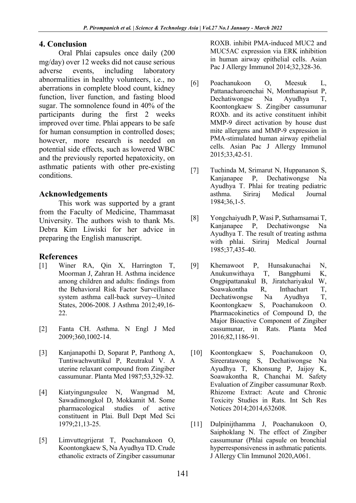## **4. Conclusion**

Oral Phlai capsules once daily (200 mg/day) over 12 weeks did not cause serious adverse events, including laboratory abnormalities in healthy volunteers, i.e., no aberrations in complete blood count, kidney function, liver function, and fasting blood sugar. The somnolence found in 40% of the participants during the first 2 weeks improved over time. Phlai appears to be safe for human consumption in controlled doses; however, more research is needed on potential side effects, such as lowered WBC and the previously reported hepatoxicity, on asthmatic patients with other pre-existing conditions.

# **Acknowledgements**

This work was supported by a grant from the Faculty of Medicine, Thammasat University. The authors wish to thank Ms. Debra Kim Liwiski for her advice in preparing the English manuscript.

## **References**

- [1] Winer RA, Qin X, Harrington T, Moorman J, Zahran H. Asthma incidence among children and adults: findings from the Behavioral Risk Factor Surveillance system asthma call-back survey--United States, 2006-2008. J Asthma 2012;49,16- 22.
- [2] Fanta CH. Asthma. N Engl J Med 2009;360,1002-14.
- [3] Kanjanapothi D, Soparat P, Panthong A, Tuntiwachwuttikul P, Reutrakul V. A uterine relaxant compound from Zingiber cassumunar. Planta Med 1987;53,329-32.
- [4] Kiatyingungsulee N, Wangmad M, Sawadimongkol D, Mokkamit M. Some pharmacological studies of active constituent in Plai. Bull Dept Med Sci 1979;21,13-25.
- [5] Limvuttegrijerat T, Poachanukoon O, Koontongkaew S, Na Ayudhya TD. Crude ethanolic extracts of Zingiber cassumunar

ROXB. inhibit PMA-induced MUC2 and MUC5AC expression via ERK inhibition in human airway epithelial cells. Asian Pac J Allergy Immunol 2014;32,328-36.

- [6] Poachanukoon O, Meesuk L, Pattanacharoenchai N, Monthanapisut P, Dechatiwongse Na Ayudhya T, Koontongkaew S. Zingiber cassumunar ROXb. and its active constituent inhibit MMP-9 direct activation by house dust mite allergens and MMP-9 expression in PMA-stimulated human airway epithelial cells. Asian Pac J Allergy Immunol 2015;33,42-51.
- [7] Tuchinda M, Srimarut N, Huppananon S, Kanjanapee P, Dechatiwongse Na Ayudhya T. Phlai for treating pediatric asthma. Siriraj Medical Journal 1984;36,1-5.
- [8] Yongchaiyudh P, Wasi P, Suthamsamai T, Kanjanapee P, Dechatiwongse Na Ayudhya T. The result of treating asthma with phlai. Siriraj Medical Journal 1985;37,435-40.
- [9] Khemawoot P, Hunsakunachai N, Anukunwithaya T, Bangphumi K, Ongpipattanakul B, Jiratchariyakul W, Soawakontha R, Inthachart T, Dechatiwongse Na Ayudhya T, Koontongkaew S, Poachanukoon O. Pharmacokinetics of Compound D, the Major Bioactive Component of Zingiber cassumunar, in Rats. Planta Med 2016;82,1186-91.
- [10] Koontongkaew S, Poachanukoon O, Sireeratawong S, Dechatiwongse Na Ayudhya T, Khonsung P, Jaijoy K, Soawakontha R, Chanchai M. Safety Evaluation of Zingiber cassumunar Roxb. Rhizome Extract: Acute and Chronic Toxicity Studies in Rats. Int Sch Res Notices 2014;2014,632608.
- [11] Dulpinijthamma J, Poachanukoon O, Saiphoklang N. The effect of Zingiber cassumunar (Phlai capsule on bronchial hyperresponsiveness in asthmatic patients. J Allergy Clin Immunol 2020,A061.